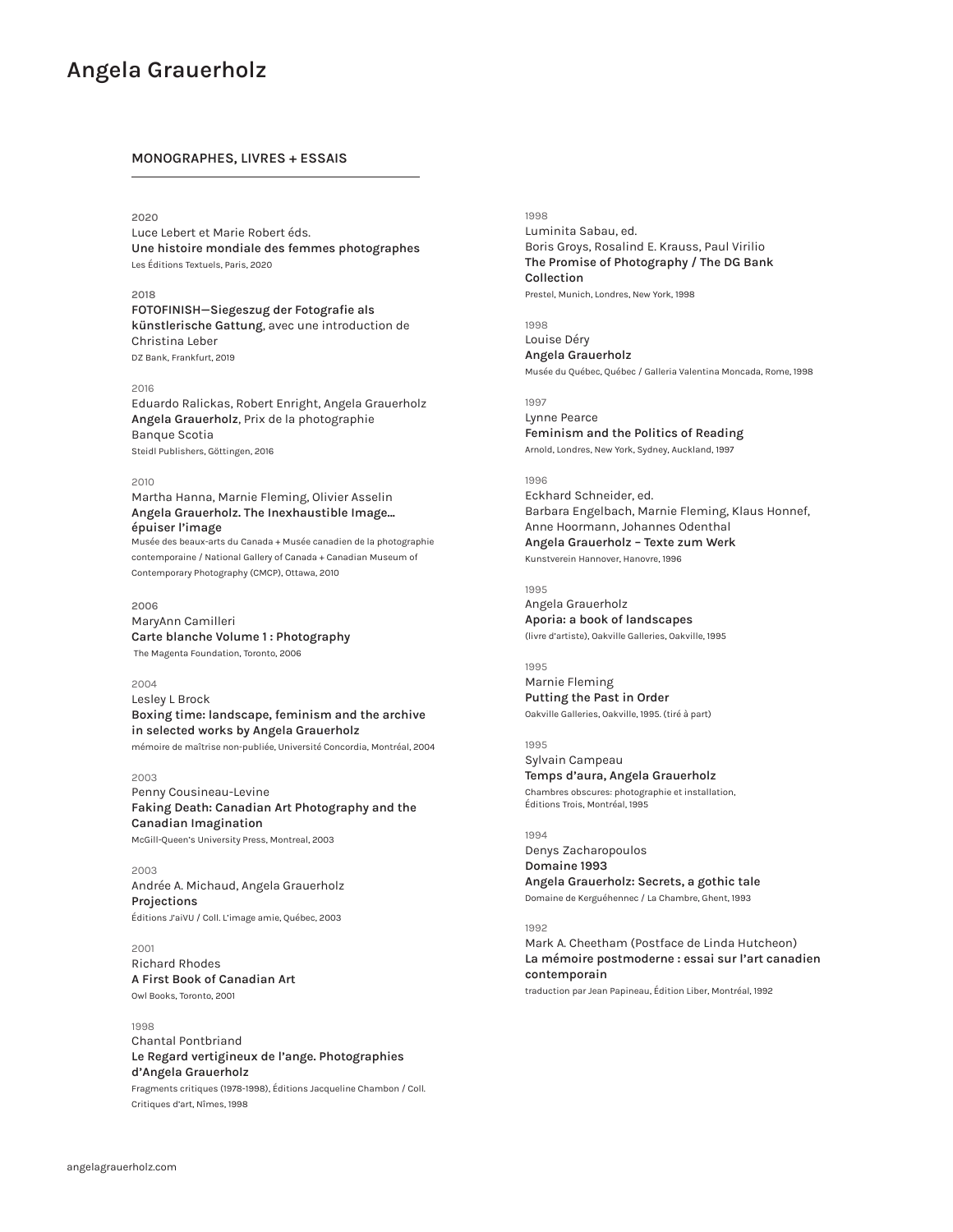### **MONOGRAPHES, LIVRES + ESSAIS**

## **2020**

Luce Lebert et Marie Robert éds. **Une histoire mondiale des femmes photographes** Les Éditions Textuels, Paris, 2020

### **2018**

**FOTOFINISH—Siegeszug der Fotografie als künstlerische Gattung**, avec une introduction de Christina Leber DZ Bank, Frankfurt, 2019

### 2016

Eduardo Ralickas, Robert Enright, Angela Grauerholz **Angela Grauerholz**, Prix de la photographie Banque Scotia Steidl Publishers, Göttingen, 2016

## 2010

Martha Hanna, Marnie Fleming, Olivier Asselin **Angela Grauerholz. The Inexhaustible Image... épuiser l'image** Musée des beaux-arts du Canada + Musée canadien de la photographie

contemporaine / National Gallery of Canada + Canadian Museum of Contemporary Photography (CMCP), Ottawa, 2010

### **2006**

MaryAnn Camilleri **Carte blanche Volume 1 : Photography** The Magenta Foundation, Toronto, 2006

### 2004

Lesley L Brock **Boxing time: landscape, feminism and the archive in selected works by Angela Grauerholz**  mémoire de maîtrise non-publiée, Université Concordia, Montréal, 2004

### 2003

Penny Cousineau-Levine **Faking Death: Canadian Art Photography and the Canadian Imagination** McGill-Queen's University Press, Montreal, 2003

2003 Andrée A. Michaud, Angela Grauerholz **Projections** Éditions J'aiVU / Coll. L'image amie, Québec, 2003

2001 Richard Rhodes **A First Book of Canadian Art** Owl Books, Toronto, 2001

# 1998

Chantal Pontbriand **Le Regard vertigineux de l'ange. Photographies d'Angela Grauerholz**  Fragments critiques (1978-1998), Éditions Jacqueline Chambon / Coll. Critiques d'art, Nîmes, 1998

### 1998

Luminita Sabau, ed. Boris Groys, Rosalind E. Krauss, Paul Virilio **The Promise of Photography / The DG Bank Collection**

Prestel, Munich, Londres, New York, 1998

1998 Louise Déry **Angela Grauerholz** Musée du Québec, Québec / Galleria Valentina Moncada, Rome, 1998

1997 Lynne Pearce

**Feminism and the Politics of Reading** Arnold, Londres, New York, Sydney, Auckland, 1997

### 1996

Eckhard Schneider, ed. Barbara Engelbach, Marnie Fleming, Klaus Honnef, Anne Hoormann, Johannes Odenthal **Angela Grauerholz – Texte zum Werk** Kunstverein Hannover, Hanovre, 1996

# 1995

Angela Grauerholz **Aporia: a book of landscapes**  (livre d'artiste), Oakville Galleries, Oakville, 1995

# 1995

Marnie Fleming **Putting the Past in Order** Oakville Galleries, Oakville, 1995. (tiré à part)

1995 Sylvain Campeau **Temps d'aura, Angela Grauerholz**  Chambres obscures: photographie et installation, Éditions Trois, Montréal, 1995

1994 Denys Zacharopoulos **Domaine 1993** 

**Angela Grauerholz: Secrets, a gothic tale** Domaine de Kerguéhennec / La Chambre, Ghent, 1993

# 1992

Mark A. Cheetham (Postface de Linda Hutcheon) **La mémoire postmoderne : essai sur l'art canadien contemporain** traduction par Jean Papineau, Édition Liber, Montréal, 1992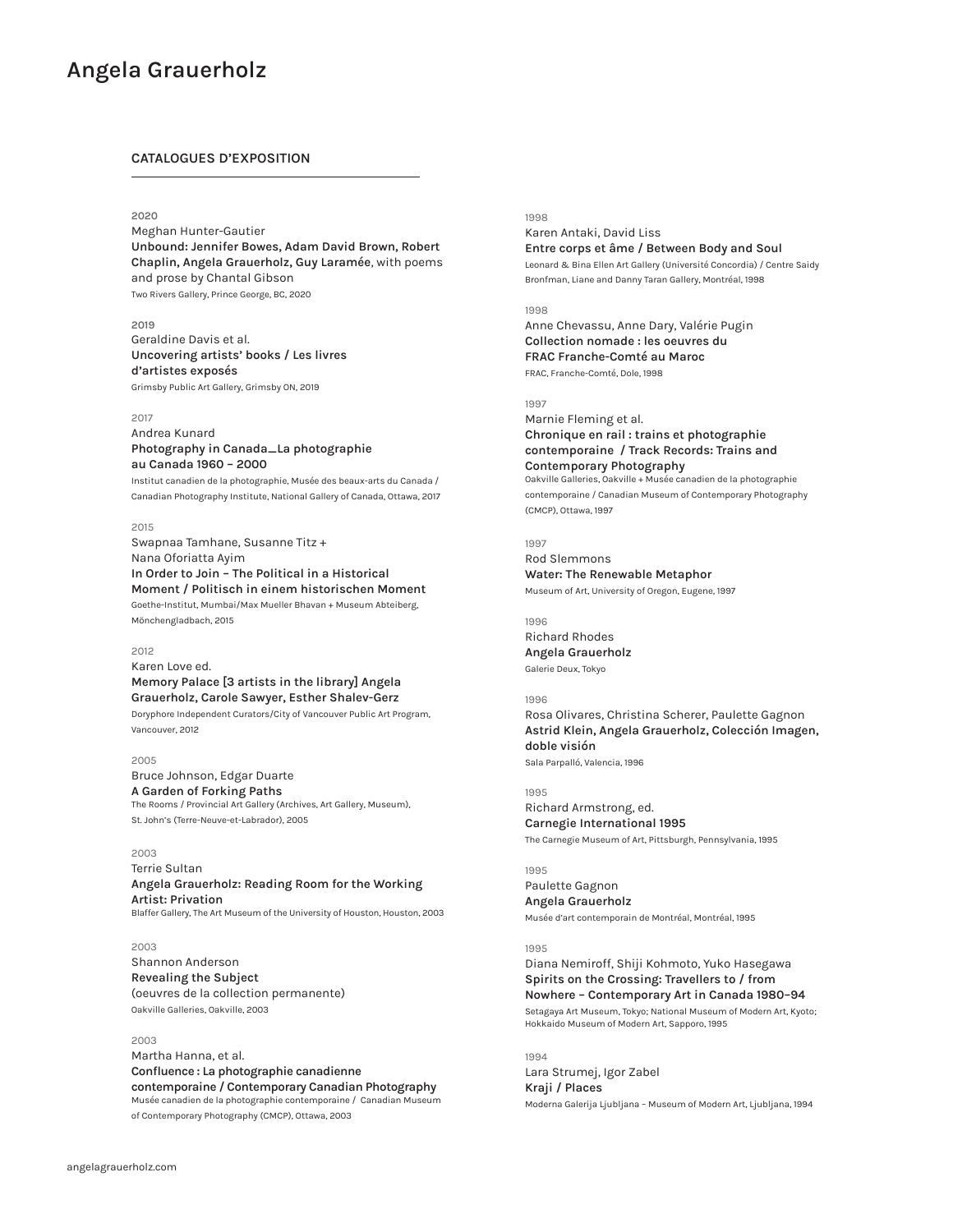# **CATALOGUES D'EXPOSITION**

# **2020**

Meghan Hunter-Gautier **Unbound: Jennifer Bowes, Adam David Brown, Robert Chaplin, Angela Grauerholz, Guy Laramée**, with poems and prose by Chantal Gibson Two Rivers Gallery, Prince George, BC, 2020

## **2019**

Geraldine Davis et al. **Uncovering artists' books / Les livres d'artistes exposés** Grimsby Public Art Gallery, Grimsby ON, 2019

### 2017

Andrea Kunard **Photography in Canada\_La photographie au Canada 1960 – 2000**

Institut canadien de la photographie, Musée des beaux-arts du Canada / Canadian Photography Institute, National Gallery of Canada, Ottawa, 2017

### 2015

Swapnaa Tamhane, Susanne Titz + Nana Oforiatta Ayim **In Order to Join – The Political in a Historical Moment / Politisch in einem historischen Moment** Goethe-Institut, Mumbai/Max Mueller Bhavan + Museum Abteiberg, Mönchengladbach, 2015

### 2012

Karen Love ed. **Memory Palace [3 artists in the library] Angela** 

# **Grauerholz, Carole Sawyer, Esther Shalev-Gerz**

Doryphore Independent Curators/City of Vancouver Public Art Program, Vancouver, 2012

# 2005

Bruce Johnson, Edgar Duarte **A Garden of Forking Paths** The Rooms / Provincial Art Gallery (Archives, Art Gallery, Museum), St. John's (Terre-Neuve-et-Labrador), 2005

### 2003

Terrie Sultan **Angela Grauerholz: Reading Room for the Working Artist: Privation** Blaffer Gallery, The Art Museum of the University of Houston, Houston, 2003

### 2003

Shannon Anderson **Revealing the Subject**  (oeuvres de la collection permanente) Oakville Galleries, Oakville, 2003

# 2003

Martha Hanna, et al. **Confluence : La photographie canadienne contemporaine / Contemporary Canadian Photography** Musée canadien de la photographie contemporaine / Canadian Museum of Contemporary Photography (CMCP), Ottawa, 2003

# 1998

Karen Antaki, David Liss **Entre corps et âme / Between Body and Soul** Leonard & Bina Ellen Art Gallery (Université Concordia) / Centre Saidy Bronfman, Liane and Danny Taran Gallery, Montréal, 1998

### 1998

Anne Chevassu, Anne Dary, Valérie Pugin **Collection nomade : les oeuvres du FRAC Franche-Comté au Maroc** FRAC, Franche-Comté, Dole, 1998

### 1997

Marnie Fleming et al. **Chronique en rail : trains et photographie contemporaine / Track Records: Trains and Contemporary Photography** Oakville Galleries, Oakville + Musée canadien de la photographie contemporaine / Canadian Museum of Contemporary Photography (CMCP), Ottawa, 1997

1997

Rod Slemmons **Water: The Renewable Metaphor** Museum of Art, University of Oregon, Eugene, 1997

### 1996

Richard Rhodes **Angela Grauerholz** Galerie Deux, Tokyo

### 1996

Rosa Olivares, Christina Scherer, Paulette Gagnon **Astrid Klein, Angela Grauerholz, Colección Imagen, doble visión** Sala Parpalló, Valencia, 1996

### 1995

Richard Armstrong, ed. **Carnegie International 1995** The Carnegie Museum of Art, Pittsburgh, Pennsylvania, 1995

# 1995

Paulette Gagnon **Angela Grauerholz** Musée d'art contemporain de Montréal, Montréal, 1995

### 1995

Diana Nemiroff, Shiji Kohmoto, Yuko Hasegawa **Spirits on the Crossing: Travellers to / from Nowhere – Contemporary Art in Canada 1980–94**  Setagaya Art Museum, Tokyo; National Museum of Modern Art, Kyoto;

Hokkaido Museum of Modern Art, Sapporo, 1995

1994 Lara Strumej, Igor Zabel **Kraji / Places** Moderna Galerija Ljubljana – Museum of Modern Art, Ljubljana, 1994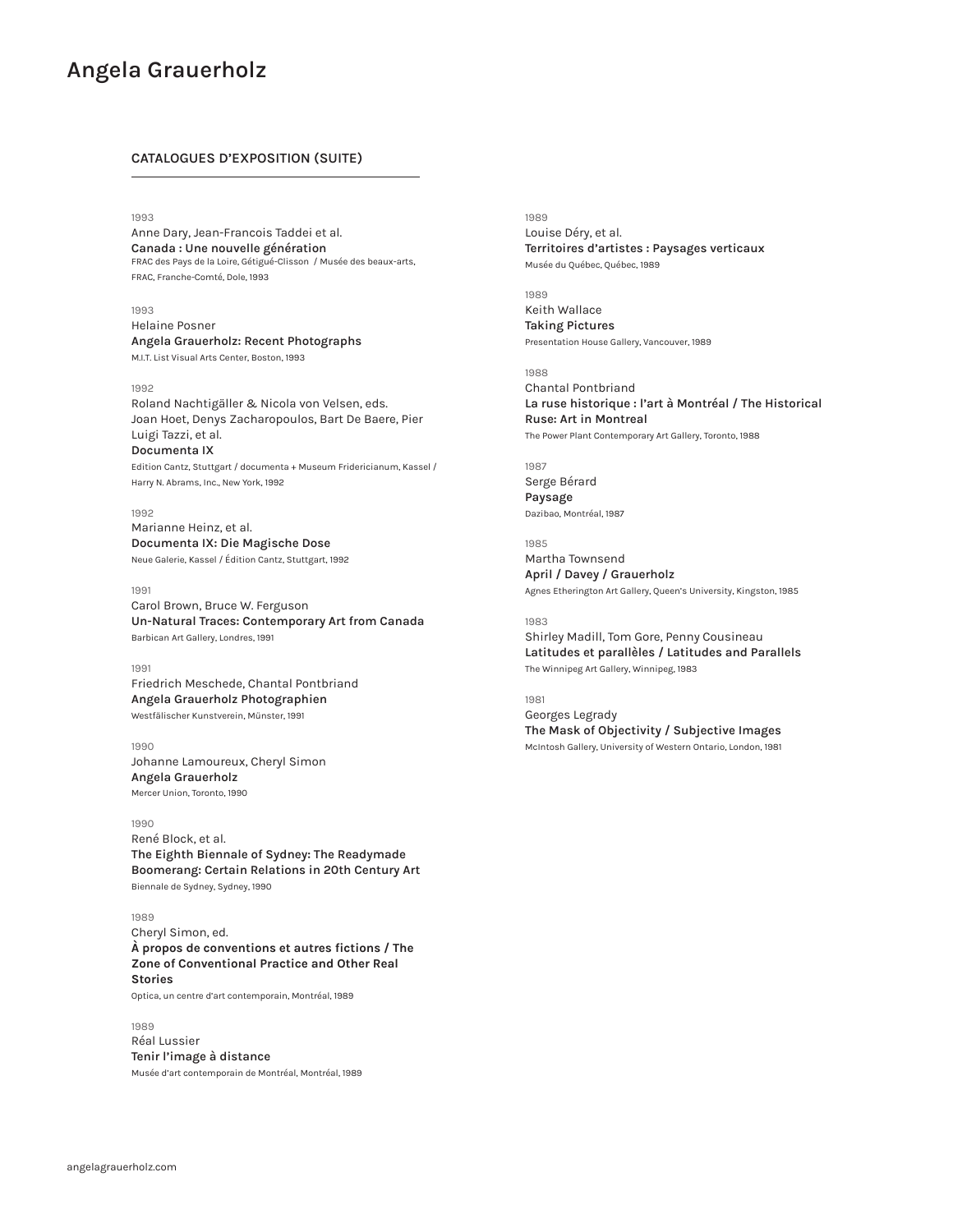# **CATALOGUES D'EXPOSITION (SUITE)**

1993

Anne Dary, Jean-Francois Taddei et al. **Canada : Une nouvelle génération** FRAC des Pays de la Loire, Gétigué-Clisson / Musée des beaux-arts, FRAC, Franche-Comté, Dole, 1993

### 1993

Helaine Posner **Angela Grauerholz: Recent Photographs**

M.I.T. List Visual Arts Center, Boston, 1993

### 1992

Roland Nachtigäller & Nicola von Velsen, eds. Joan Hoet, Denys Zacharopoulos, Bart De Baere, Pier Luigi Tazzi, et al. **Documenta IX**

Edition Cantz, Stuttgart / documenta + Museum Fridericianum, Kassel / Harry N. Abrams, Inc., New York, 1992

## 1992

Marianne Heinz, et al. **Documenta IX: Die Magische Dose** Neue Galerie, Kassel / Édition Cantz, Stuttgart, 1992

### 1991

Carol Brown, Bruce W. Ferguson **Un-Natural Traces: Contemporary Art from Canada** Barbican Art Gallery, Londres, 1991

### 1991

Friedrich Meschede, Chantal Pontbriand **Angela Grauerholz Photographien** Westfälischer Kunstverein, Münster, 1991

1990 Johanne Lamoureux, Cheryl Simon **Angela Grauerholz** Mercer Union, Toronto, 1990

### 1990

René Block, et al. **The Eighth Biennale of Sydney: The Readymade Boomerang: Certain Relations in 20th Century Art** Biennale de Sydney, Sydney, 1990

1989 Cheryl Simon, ed. **À propos de conventions et autres fictions / The Zone of Conventional Practice and Other Real Stories**

Optica, un centre d'art contemporain, Montréal, 1989

# 1989

Réal Lussier **Tenir l'image à distance** Musée d'art contemporain de Montréal, Montréal, 1989 1989 Louise Déry, et al. **Territoires d'artistes : Paysages verticaux** Musée du Québec, Québec, 1989

### 1989

Keith Wallace **Taking Pictures** Presentation House Gallery, Vancouver, 1989

# 1988

Chantal Pontbriand **La ruse historique : l'art à Montréal / The Historical Ruse: Art in Montreal** The Power Plant Contemporary Art Gallery, Toronto, 1988

1987 Serge Bérard **Paysage** Dazibao, Montréal, 1987

1985 Martha Townsend **April / Davey / Grauerholz**  Agnes Etherington Art Gallery, Queen's University, Kingston, 1985

### 1983

Shirley Madill, Tom Gore, Penny Cousineau **Latitudes et parallèles / Latitudes and Parallels** The Winnipeg Art Gallery, Winnipeg, 1983

# 1981

Georges Legrady **The Mask of Objectivity / Subjective Images** McIntosh Gallery, University of Western Ontario, London, 1981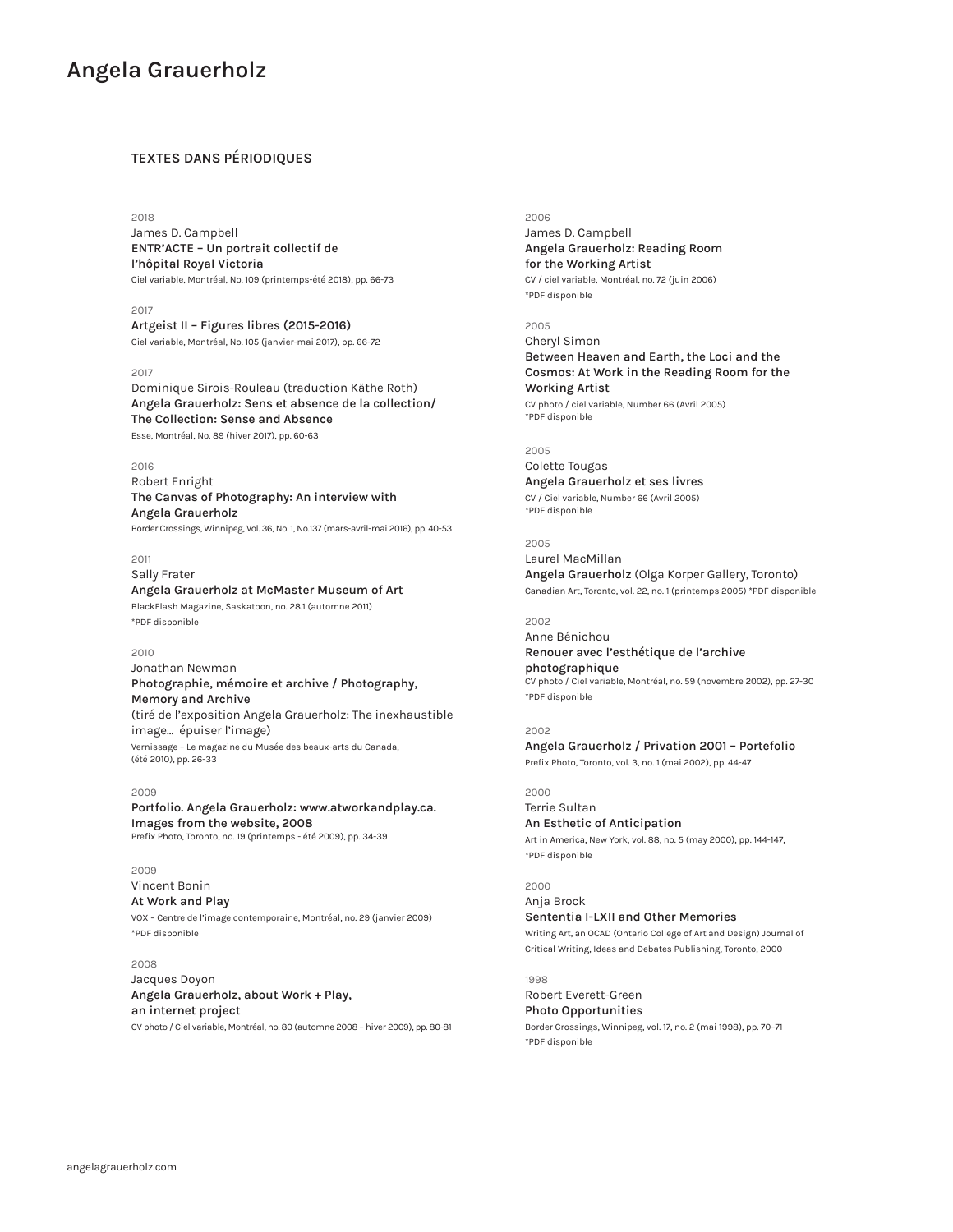# **TEXTES DANS PÉRIODIQUES**

### 2018

James D. Campbell **ENTR'ACTE – Un portrait collectif de l'hôpital Royal Victoria**  Ciel variable, Montréal, No. 109 (printemps-été 2018), pp. 66-73

2017 **Artgeist II – Figures libres (2015-2016)** Ciel variable, Montréal, No. 105 (janvier-mai 2017), pp. 66-72

### 2017

Dominique Sirois-Rouleau (traduction Käthe Roth) **Angela Grauerholz: Sens et absence de la collection/ The Collection: Sense and Absence** 

Esse, Montréal, No. 89 (hiver 2017), pp. 60-63

### 2016

Robert Enright **The Canvas of Photography: An interview with Angela Grauerholz** 

Border Crossings, Winnipeg, Vol. 36, No. 1, No.137 (mars-avril-mai 2016), pp. 40-53

2011

Sally Frater **Angela Grauerholz at McMaster Museum of Art** BlackFlash Magazine, Saskatoon, no. 28.1 (automne 2011) \*PDF disponible

### 2010

Jonathan Newman **Photographie, mémoire et archive / Photography, Memory and Archive** (tiré de l'exposition Angela Grauerholz: The inexhaustible image... épuiser l'image) Vernissage – Le magazine du Musée des beaux-arts du Canada, (été 2010), pp. 26-33

### 2009

**Portfolio. Angela Grauerholz: www.atworkandplay.ca. Images from the website, 2008** Prefix Photo, Toronto, no. 19 (printemps - été 2009), pp. 34-39

2009

Vincent Bonin **At Work and Play** 

VOX – Centre de l'image contemporaine, Montréal, no. 29 (janvier 2009) \*PDF disponible

### 2008

Jacques Doyon **Angela Grauerholz, about Work + Play, an internet project** CV photo / Ciel variable, Montréal, no. 80 (automne 2008 – hiver 2009), pp. 80-81

### 2006

James D. Campbell **Angela Grauerholz: Reading Room for the Working Artist** CV / ciel variable, Montréal, no. 72 (juin 2006) \*PDF disponible

2005

Cheryl Simon **Between Heaven and Earth, the Loci and the Cosmos: At Work in the Reading Room for the Working Artist**

CV photo / ciel variable, Number 66 (Avril 2005) \*PDF disponible

# 2005

Colette Tougas **Angela Grauerholz et ses livres** CV / Ciel variable, Number 66 (Avril 2005) \*PDF disponible

2005 Laurel MacMillan **Angela Grauerholz** (Olga Korper Gallery, Toronto) Canadian Art, Toronto, vol. 22, no. 1 (printemps 2005) \*PDF disponible

# 2002

Anne Bénichou **Renouer avec l'esthétique de l'archive photographique** CV photo / Ciel variable, Montréal, no. 59 (novembre 2002), pp. 27-30 \*PDF disponible

## 2002 **Angela Grauerholz / Privation 2001 – Portefolio** Prefix Photo, Toronto, vol. 3, no. 1 (mai 2002), pp. 44-47

2000

Terrie Sultan **An Esthetic of Anticipation** Art in America, New York, vol. 88, no. 5 (may 2000), pp. 144-147, \*PDF disponible

2000 Anja Brock **Sententia I-LXII and Other Memories** Writing Art, an OCAD (Ontario College of Art and Design) Journal of Critical Writing, Ideas and Debates Publishing, Toronto, 2000

1998 Robert Everett-Green **Photo Opportunities**

Border Crossings, Winnipeg, vol. 17, no. 2 (mai 1998), pp. 70–71 \*PDF disponible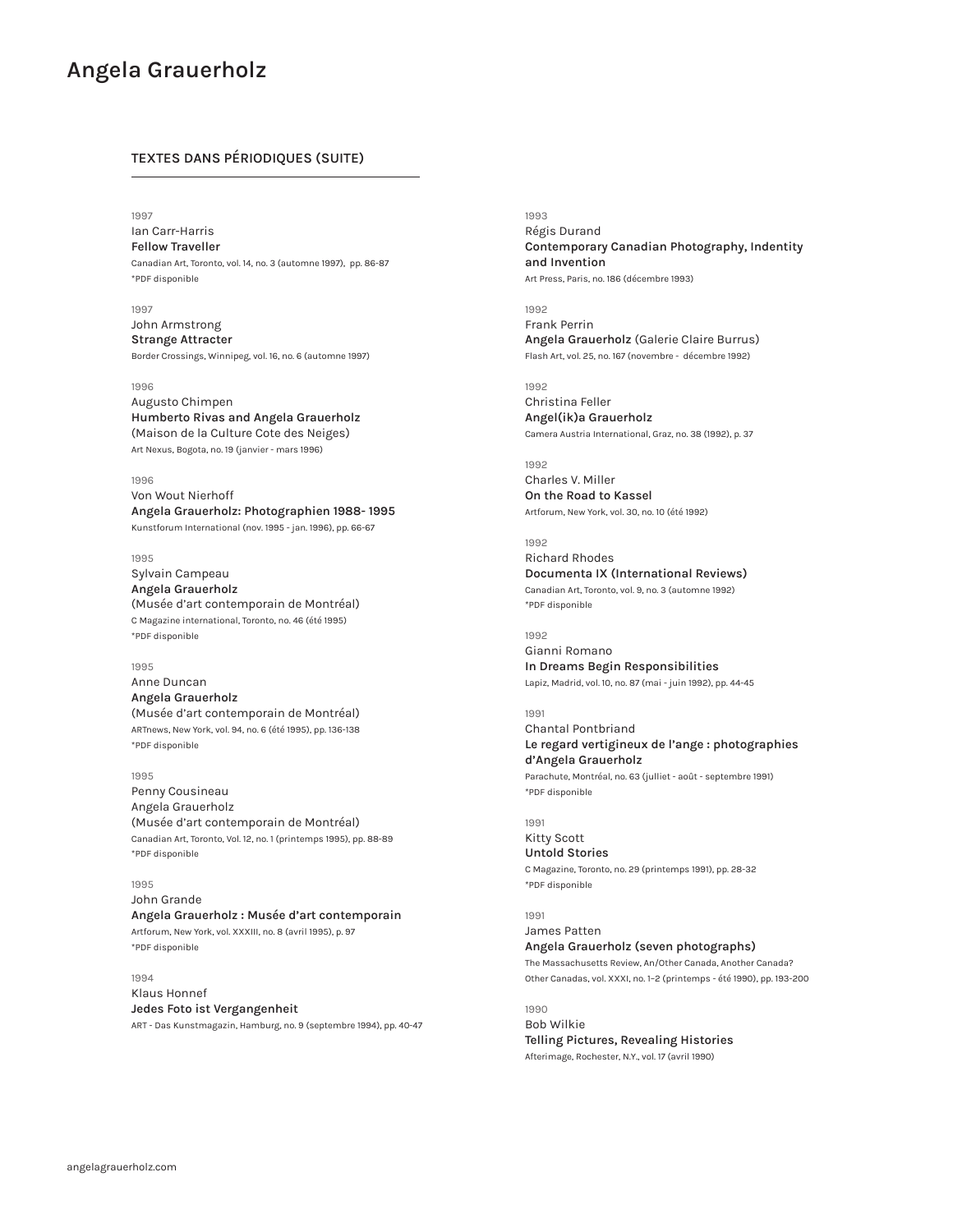# **TEXTES DANS PÉRIODIQUES (SUITE)**

### 1997

Ian Carr-Harris **Fellow Traveller** Canadian Art, Toronto, vol. 14, no. 3 (automne 1997), pp. 86-87 \*PDF disponible

1997

John Armstrong **Strange Attracter** Border Crossings, Winnipeg, vol. 16, no. 6 (automne 1997)

### 1996

Augusto Chimpen **Humberto Rivas and Angela Grauerholz**  (Maison de la Culture Cote des Neiges) Art Nexus, Bogota, no. 19 (janvier - mars 1996)

### 1996

Von Wout Nierhoff **Angela Grauerholz: Photographien 1988- 1995** Kunstforum International (nov. 1995 - jan. 1996), pp. 66-67

1995

Sylvain Campeau **Angela Grauerholz**  (Musée d'art contemporain de Montréal) C Magazine international, Toronto, no. 46 (été 1995) \*PDF disponible

## 1995

Anne Duncan **Angela Grauerholz**  (Musée d'art contemporain de Montréal) ARTnews, New York, vol. 94, no. 6 (été 1995), pp. 136-138 \*PDF disponible

### 1995

Penny Cousineau Angela Grauerholz (Musée d'art contemporain de Montréal) Canadian Art, Toronto, Vol. 12, no. 1 (printemps 1995), pp. 88-89 \*PDF disponible

### 1995

John Grande **Angela Grauerholz : Musée d'art contemporain** Artforum, New York, vol. XXXIII, no. 8 (avril 1995), p. 97 \*PDF disponible

# 1994

Klaus Honnef **Jedes Foto ist Vergangenheit** ART - Das Kunstmagazin, Hamburg, no. 9 (septembre 1994), pp. 40-47 1993 Régis Durand

**Contemporary Canadian Photography, Indentity and Invention** Art Press, Paris, no. 186 (décembre 1993)

1992 Frank Perrin **Angela Grauerholz** (Galerie Claire Burrus) Flash Art, vol. 25, no. 167 (novembre - décembre 1992)

# 1992

Christina Feller **Angel(ik)a Grauerholz** Camera Austria International, Graz, no. 38 (1992), p. 37

1992 Charles V. Miller **On the Road to Kassel**

Artforum, New York, vol. 30, no. 10 (été 1992)

### 1992 Richard Rhodes

**Documenta IX (International Reviews)** Canadian Art, Toronto, vol. 9, no. 3 (automne 1992) \*PDF disponible

### 1992

Gianni Romano **In Dreams Begin Responsibilities** Lapiz, Madrid, vol. 10, no. 87 (mai - juin 1992), pp. 44-45

# 1991

Chantal Pontbriand **Le regard vertigineux de l'ange : photographies d'Angela Grauerholz** Parachute, Montréal, no. 63 (julliet - août - septembre 1991) \*PDF disponible

# 1991

Kitty Scott **Untold Stories** C Magazine, Toronto, no. 29 (printemps 1991), pp. 28-32 \*PDF disponible

1991

James Patten **Angela Grauerholz (seven photographs)** The Massachusetts Review, An/Other Canada, Another Canada? Other Canadas, vol. XXXI, no. 1–2 (printemps - été 1990), pp. 193-200

1990 Bob Wilkie **Telling Pictures, Revealing Histories** Afterimage, Rochester, N.Y., vol. 17 (avril 1990)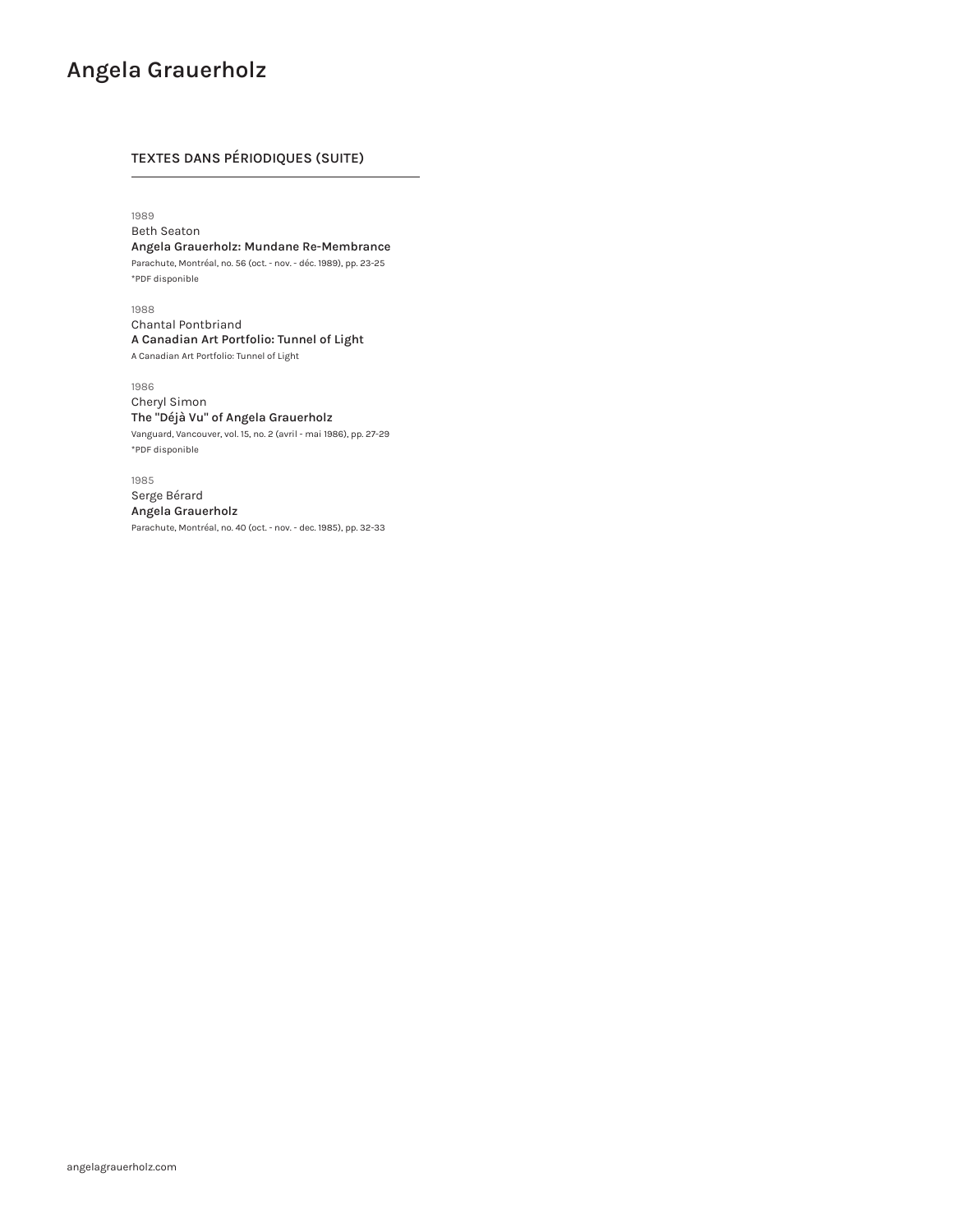# **TEXTES DANS PÉRIODIQUES (SUITE)**

1989

Beth Seaton **Angela Grauerholz: Mundane Re-Membrance** Parachute, Montréal, no. 56 (oct. - nov. - déc. 1989), pp. 23-25 \*PDF disponible

1988 Chantal Pontbriand **A Canadian Art Portfolio: Tunnel of Light** A Canadian Art Portfolio: Tunnel of Light

1986 Cheryl Simon **The "Déjà Vu" of Angela Grauerholz**

Vanguard, Vancouver, vol. 15, no. 2 (avril - mai 1986), pp. 27-29 \*PDF disponible

1985 Serge Bérard **Angela Grauerholz** Parachute, Montréal, no. 40 (oct. - nov. - dec. 1985), pp. 32-33